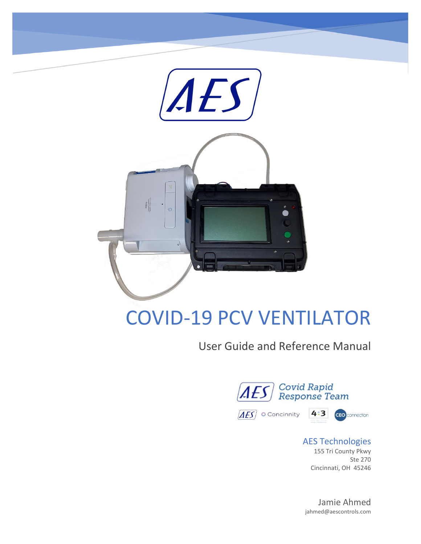

# COVID-19 PCV VENTILATOR

## User Guide and Reference Manual



 $\overline{AES}$  **O** Concinnity **4:3** CEO connection

AES Technologies 155 Tri County Pkwy Ste 270 Cincinnati, OH 45246

Jamie Ahmed jahmed@aescontrols.com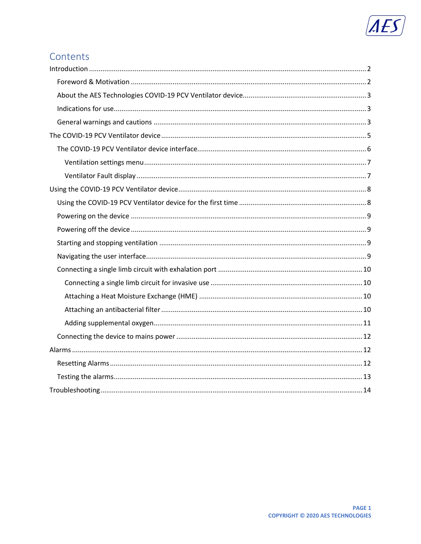

## Contents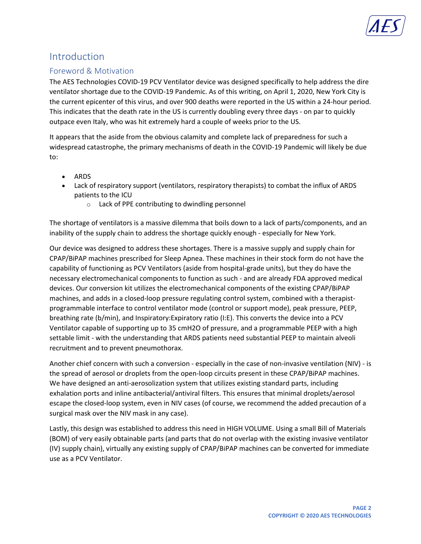

## <span id="page-2-0"></span>Introduction

## <span id="page-2-1"></span>Foreword & Motivation

The AES Technologies COVID-19 PCV Ventilator device was designed specifically to help address the dire ventilator shortage due to the COVID-19 Pandemic. As of this writing, on April 1, 2020, New York City is the current epicenter of this virus, and over 900 deaths were reported in the US within a 24-hour period. This indicates that the death rate in the US is currently doubling every three days - on par to quickly outpace even Italy, who was hit extremely hard a couple of weeks prior to the US.

It appears that the aside from the obvious calamity and complete lack of preparedness for such a widespread catastrophe, the primary mechanisms of death in the COVID-19 Pandemic will likely be due to:

- ARDS
- Lack of respiratory support (ventilators, respiratory therapists) to combat the influx of ARDS patients to the ICU
	- o Lack of PPE contributing to dwindling personnel

The shortage of ventilators is a massive dilemma that boils down to a lack of parts/components, and an inability of the supply chain to address the shortage quickly enough - especially for New York.

Our device was designed to address these shortages. There is a massive supply and supply chain for CPAP/BiPAP machines prescribed for Sleep Apnea. These machines in their stock form do not have the capability of functioning as PCV Ventilators (aside from hospital-grade units), but they do have the necessary electromechanical components to function as such - and are already FDA approved medical devices. Our conversion kit utilizes the electromechanical components of the existing CPAP/BiPAP machines, and adds in a closed-loop pressure regulating control system, combined with a therapistprogrammable interface to control ventilator mode (control or support mode), peak pressure, PEEP, breathing rate (b/min), and Inspiratory:Expiratory ratio (I:E). This converts the device into a PCV Ventilator capable of supporting up to 35 cmH2O of pressure, and a programmable PEEP with a high settable limit - with the understanding that ARDS patients need substantial PEEP to maintain alveoli recruitment and to prevent pneumothorax.

Another chief concern with such a conversion - especially in the case of non-invasive ventilation (NIV) - is the spread of aerosol or droplets from the open-loop circuits present in these CPAP/BiPAP machines. We have designed an anti-aerosolization system that utilizes existing standard parts, including exhalation ports and inline antibacterial/antiviral filters. This ensures that minimal droplets/aerosol escape the closed-loop system, even in NIV cases (of course, we recommend the added precaution of a surgical mask over the NIV mask in any case).

Lastly, this design was established to address this need in HIGH VOLUME. Using a small Bill of Materials (BOM) of very easily obtainable parts (and parts that do not overlap with the existing invasive ventilator (IV) supply chain), virtually any existing supply of CPAP/BiPAP machines can be converted for immediate use as a PCV Ventilator.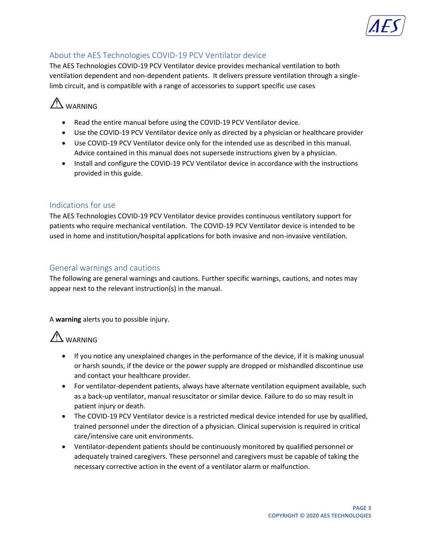

## <span id="page-3-0"></span>About the AES Technologies COVID-19 PCV Ventilator device

The AES Technologies COVID-19 PCV Ventilator device provides mechanical ventilation to both ventilation dependent and non-dependent patients. It delivers pressure ventilation through a singlelimb circuit, and is compatible with a range of accessories to support specific use cases

# AN WARNING

- Read the entire manual before using the COVID-19 PCV Ventilator device.
- Use the COVID-19 PCV Ventilator device only as directed by a physician or healthcare provider
- Use COVID-19 PCV Ventilator device only for the intended use as described in this manual. Advice contained in this manual does not supersede instructions given by a physician.
- Install and configure the COVID-19 PCV Ventilator device in accordance with the instructions provided in this guide.

## <span id="page-3-1"></span>Indications for use

The AES Technologies COVID-19 PCV Ventilator device provides continuous ventilatory support for patients who require mechanical ventilation. The COVID-19 PCV Ventilator device is intended to be used in home and institution/hospital applications for both invasive and non-invasive ventilation.

## <span id="page-3-2"></span>General warnings and cautions

The following are general warnings and cautions. Further specific warnings, cautions, and notes may appear next to the relevant instruction(s) in the manual.

A **warning** alerts you to possible injury.



- If you notice any unexplained changes in the performance of the device, if it is making unusual or harsh sounds, if the device or the power supply are dropped or mishandled discontinue use and contact your healthcare provider.
- For ventilator-dependent patients, always have alternate ventilation equipment available, such as a back-up ventilator, manual resuscitator or similar device. Failure to do so may result in patient injury or death.
- The COVID-19 PCV Ventilator device is a restricted medical device intended for use by qualified, trained personnel under the direction of a physician. Clinical supervision is required in critical care/intensive care unit environments.
- Ventilator-dependent patients should be continuously monitored by qualified personnel or adequately trained caregivers. These personnel and caregivers must be capable of taking the necessary corrective action in the event of a ventilator alarm or malfunction.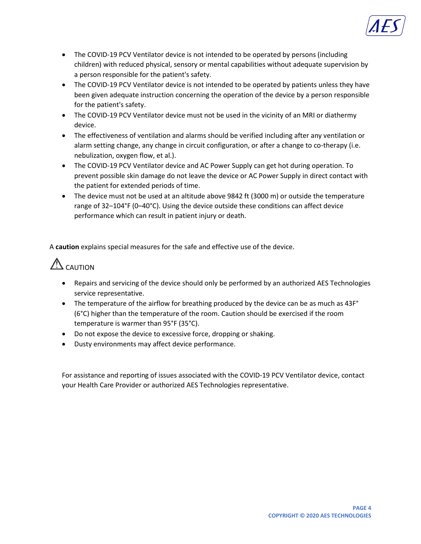

- The COVID-19 PCV Ventilator device is not intended to be operated by persons (including children) with reduced physical, sensory or mental capabilities without adequate supervision by a person responsible for the patient's safety.
- The COVID-19 PCV Ventilator device is not intended to be operated by patients unless they have been given adequate instruction concerning the operation of the device by a person responsible for the patient's safety.
- The COVID-19 PCV Ventilator device must not be used in the vicinity of an MRI or diathermy device.
- The effectiveness of ventilation and alarms should be verified including after any ventilation or alarm setting change, any change in circuit configuration, or after a change to co-therapy (i.e. nebulization, oxygen flow, et al.).
- The COVID-19 PCV Ventilator device and AC Power Supply can get hot during operation. To prevent possible skin damage do not leave the device or AC Power Supply in direct contact with the patient for extended periods of time.
- The device must not be used at an altitude above 9842 ft (3000 m) or outside the temperature range of 32–104°F (0–40°C). Using the device outside these conditions can affect device performance which can result in patient injury or death.

A **caution** explains special measures for the safe and effective use of the device.

# $\Delta$  caution

- Repairs and servicing of the device should only be performed by an authorized AES Technologies service representative.
- The temperature of the airflow for breathing produced by the device can be as much as 43F° (6°C) higher than the temperature of the room. Caution should be exercised if the room temperature is warmer than 95°F (35°C).
- Do not expose the device to excessive force, dropping or shaking.
- Dusty environments may affect device performance.

For assistance and reporting of issues associated with the COVID-19 PCV Ventilator device, contact your Health Care Provider or authorized AES Technologies representative.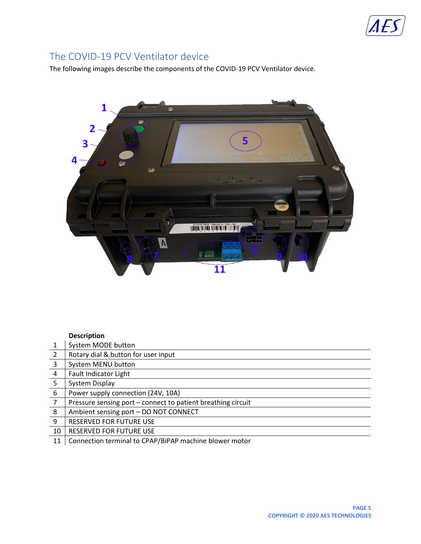

## <span id="page-5-0"></span>The COVID-19 PCV Ventilator device

The following images describe the components of the COVID-19 PCV Ventilator device.



|                | <b>Description</b>                                           |
|----------------|--------------------------------------------------------------|
|                | System MODE button                                           |
| 2              | Rotary dial & button for user input                          |
| 3              | System MENU button                                           |
| $\overline{a}$ | Fault Indicator Light                                        |
| 5              | System Display                                               |
| 6              | Power supply connection (24V, 10A)                           |
| $\overline{7}$ | Pressure sensing port - connect to patient breathing circuit |
| 8              | Ambient sensing port - DO NOT CONNECT                        |
| 9              | RESERVED FOR FUTURE USE                                      |
| 10             | <b>RESERVED FOR FUTURE USE</b>                               |

11 Connection terminal to CPAP/BiPAP machine blower motor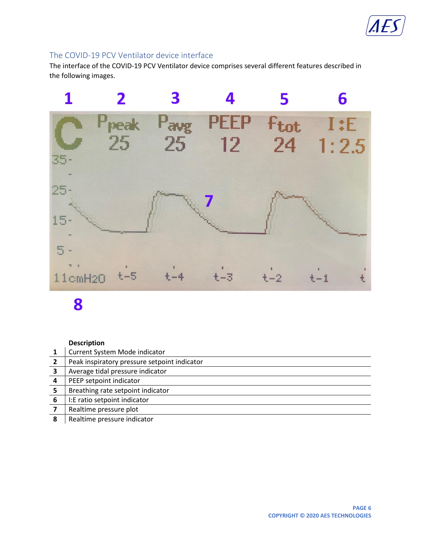

## <span id="page-6-0"></span>The COVID-19 PCV Ventilator device interface

The interface of the COVID-19 PCV Ventilator device comprises several different features described in the following images.



8

### **Description**

|   | Current System Mode indicator                |
|---|----------------------------------------------|
|   | Peak inspiratory pressure setpoint indicator |
| 3 | Average tidal pressure indicator             |
| 4 | PEEP setpoint indicator                      |
| 5 | Breathing rate setpoint indicator            |
| 6 | I:E ratio setpoint indicator                 |
|   | Realtime pressure plot                       |
| 8 | Realtime pressure indicator                  |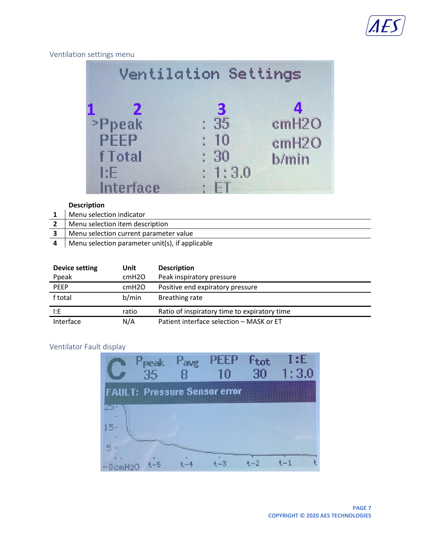

## <span id="page-7-0"></span>Ventilation settings menu

|                       | Ventilation Settings                                                  |                                     |
|-----------------------|-----------------------------------------------------------------------|-------------------------------------|
| 2<br><b>&gt;Ppeak</b> | 3<br>35<br>$\frac{1}{n}$                                              | Δ.<br>cmH <sub>2</sub> O            |
| <b>PEEP</b><br>fTotal | <b>10</b><br>$\begin{array}{c} \bullet \\ \bullet \end{array}$<br>:30 | cmH <sub>2</sub> O<br><b>b</b> /min |
| l: F<br>Interface     | : 1:3.0<br>$\left\  - \right\ $                                       |                                     |

## **Description**

| Menu selection indicator                        |
|-------------------------------------------------|
| Menu selection item description                 |
| Menu selection current parameter value          |
| Menu selection parameter unit(s), if applicable |
|                                                 |

| <b>Device setting</b> | Unit  | <b>Description</b>                           |
|-----------------------|-------|----------------------------------------------|
| Ppeak                 | cmH2O | Peak inspiratory pressure                    |
| <b>PEEP</b>           | cmH2O | Positive end expiratory pressure             |
| f total               | b/min | Breathing rate                               |
| l:E                   | ratio | Ratio of inspiratory time to expiratory time |
| Interface             | N/A   | Patient interface selection - MASK or ET     |

## <span id="page-7-1"></span>Ventilator Fault display

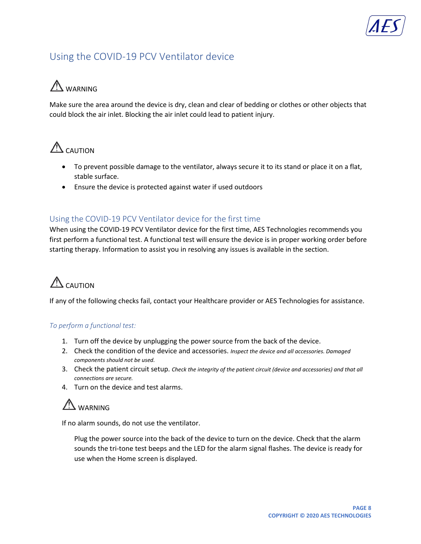## <span id="page-8-0"></span>Using the COVID-19 PCV Ventilator device

# A WARNING

Make sure the area around the device is dry, clean and clear of bedding or clothes or other objects that could block the air inlet. Blocking the air inlet could lead to patient injury.

# $\triangle$  Caution

- To prevent possible damage to the ventilator, always secure it to its stand or place it on a flat, stable surface.
- Ensure the device is protected against water if used outdoors

## <span id="page-8-1"></span>Using the COVID-19 PCV Ventilator device for the first time

When using the COVID-19 PCV Ventilator device for the first time, AES Technologies recommends you first perform a functional test. A functional test will ensure the device is in proper working order before starting therapy. Information to assist you in resolving any issues is available in the section.

# $\triangle$  caution

If any of the following checks fail, contact your Healthcare provider or AES Technologies for assistance.

## *To perform a functional test:*

- 1. Turn off the device by unplugging the power source from the back of the device.
- 2. Check the condition of the device and accessories. *Inspect the device and all accessories. Damaged components should not be used.*
- 3. Check the patient circuit setup. *Check the integrity of the patient circuit (device and accessories) and that all connections are secure.*
- 4. Turn on the device and test alarms.

## /! WARNING

If no alarm sounds, do not use the ventilator.

Plug the power source into the back of the device to turn on the device. Check that the alarm sounds the tri-tone test beeps and the LED for the alarm signal flashes. The device is ready for use when the Home screen is displayed.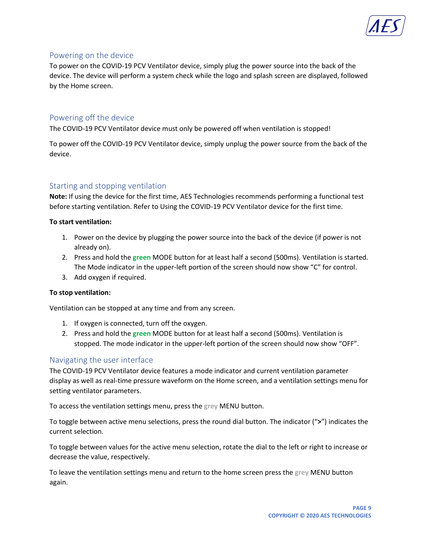

## <span id="page-9-0"></span>Powering on the device

To power on the COVID-19 PCV Ventilator device, simply plug the power source into the back of the device. The device will perform a system check while the logo and splash screen are displayed, followed by the Home screen.

## <span id="page-9-1"></span>Powering off the device

The COVID-19 PCV Ventilator device must only be powered off when ventilation is stopped!

To power off the COVID-19 PCV Ventilator device, simply unplug the power source from the back of the device.

## <span id="page-9-2"></span>Starting and stopping ventilation

**Note:** If using the device for the first time, AES Technologies recommends performing a functional test before starting ventilation. Refer to Using the COVID-19 PCV Ventilator device for the first time.

### **To start ventilation:**

- 1. Power on the device by plugging the power source into the back of the device (if power is not already on).
- 2. Press and hold the **green** MODE button for at least half a second (500ms). Ventilation is started. The Mode indicator in the upper-left portion of the screen should now show "C" for control.
- 3. Add oxygen if required.

### **To stop ventilation:**

Ventilation can be stopped at any time and from any screen.

- 1. If oxygen is connected, turn off the oxygen.
- 2. Press and hold the **green** MODE button for at least half a second (500ms). Ventilation is stopped. The mode indicator in the upper-left portion of the screen should now show "OFF".

## <span id="page-9-3"></span>Navigating the user interface

The COVID-19 PCV Ventilator device features a mode indicator and current ventilation parameter display as well as real-time pressure waveform on the Home screen, and a ventilation settings menu for setting ventilator parameters.

To access the ventilation settings menu, press the **grey** MENU button.

To toggle between active menu selections, press the round dial button. The indicator ("**>**") indicates the current selection.

To toggle between values for the active menu selection, rotate the dial to the left or right to increase or decrease the value, respectively.

To leave the ventilation settings menu and return to the home screen press the **grey** MENU button again.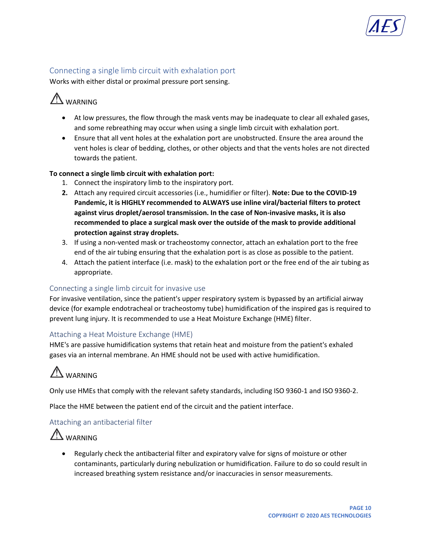## <span id="page-10-0"></span>Connecting a single limb circuit with exhalation port

Works with either distal or proximal pressure port sensing.

# A WARNING

- At low pressures, the flow through the mask vents may be inadequate to clear all exhaled gases, and some rebreathing may occur when using a single limb circuit with exhalation port.
- Ensure that all vent holes at the exhalation port are unobstructed. Ensure the area around the vent holes is clear of bedding, clothes, or other objects and that the vents holes are not directed towards the patient.

### **To connect a single limb circuit with exhalation port:**

- 1. Connect the inspiratory limb to the inspiratory port.
- **2.** Attach any required circuit accessories (i.e., humidifier or filter). **Note: Due to the COVID-19 Pandemic, it is HIGHLY recommended to ALWAYS use inline viral/bacterial filters to protect against virus droplet/aerosol transmission. In the case of Non-invasive masks, it is also recommended to place a surgical mask over the outside of the mask to provide additional protection against stray droplets.**
- 3. If using a non-vented mask or tracheostomy connector, attach an exhalation port to the free end of the air tubing ensuring that the exhalation port is as close as possible to the patient.
- 4. Attach the patient interface (i.e. mask) to the exhalation port or the free end of the air tubing as appropriate.

## <span id="page-10-1"></span>Connecting a single limb circuit for invasive use

For invasive ventilation, since the patient's upper respiratory system is bypassed by an artificial airway device (for example endotracheal or tracheostomy tube) humidification of the inspired gas is required to prevent lung injury. It is recommended to use a Heat Moisture Exchange (HME) filter.

## <span id="page-10-2"></span>Attaching a Heat Moisture Exchange (HME)

HME's are passive humidification systems that retain heat and moisture from the patient's exhaled gases via an internal membrane. An HME should not be used with active humidification.

# A WARNING

Only use HMEs that comply with the relevant safety standards, including ISO 9360-1 and ISO 9360-2.

Place the HME between the patient end of the circuit and the patient interface.

## <span id="page-10-3"></span>Attaching an antibacterial filter

## $\mathbb{A}$  WARNING

• Regularly check the antibacterial filter and expiratory valve for signs of moisture or other contaminants, particularly during nebulization or humidification. Failure to do so could result in increased breathing system resistance and/or inaccuracies in sensor measurements.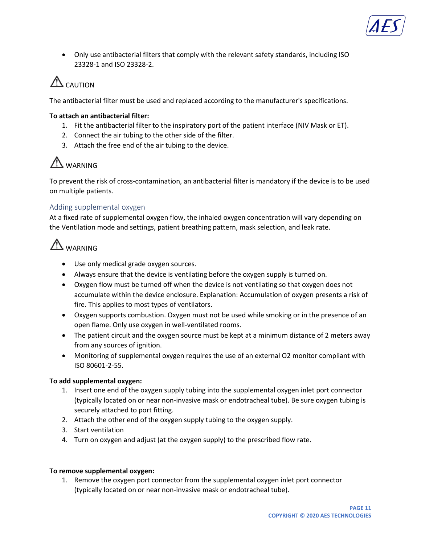

• Only use antibacterial filters that comply with the relevant safety standards, including ISO 23328-1 and ISO 23328-2.

# $\mathbb{Z}$  Caution

The antibacterial filter must be used and replaced according to the manufacturer's specifications.

### **To attach an antibacterial filter:**

- 1. Fit the antibacterial filter to the inspiratory port of the patient interface (NIV Mask or ET).
- 2. Connect the air tubing to the other side of the filter.
- 3. Attach the free end of the air tubing to the device.

## **IN** WARNING

To prevent the risk of cross-contamination, an antibacterial filter is mandatory if the device is to be used on multiple patients.

## <span id="page-11-0"></span>Adding supplemental oxygen

At a fixed rate of supplemental oxygen flow, the inhaled oxygen concentration will vary depending on the Ventilation mode and settings, patient breathing pattern, mask selection, and leak rate.

## **AVARNING**

- Use only medical grade oxygen sources.
- Always ensure that the device is ventilating before the oxygen supply is turned on.
- Oxygen flow must be turned off when the device is not ventilating so that oxygen does not accumulate within the device enclosure. Explanation: Accumulation of oxygen presents a risk of fire. This applies to most types of ventilators.
- Oxygen supports combustion. Oxygen must not be used while smoking or in the presence of an open flame. Only use oxygen in well-ventilated rooms.
- The patient circuit and the oxygen source must be kept at a minimum distance of 2 meters away from any sources of ignition.
- Monitoring of supplemental oxygen requires the use of an external O2 monitor compliant with ISO 80601-2-55.

## **To add supplemental oxygen:**

- 1. Insert one end of the oxygen supply tubing into the supplemental oxygen inlet port connector (typically located on or near non-invasive mask or endotracheal tube). Be sure oxygen tubing is securely attached to port fitting.
- 2. Attach the other end of the oxygen supply tubing to the oxygen supply.
- 3. Start ventilation
- 4. Turn on oxygen and adjust (at the oxygen supply) to the prescribed flow rate.

### **To remove supplemental oxygen:**

1. Remove the oxygen port connector from the supplemental oxygen inlet port connector (typically located on or near non-invasive mask or endotracheal tube).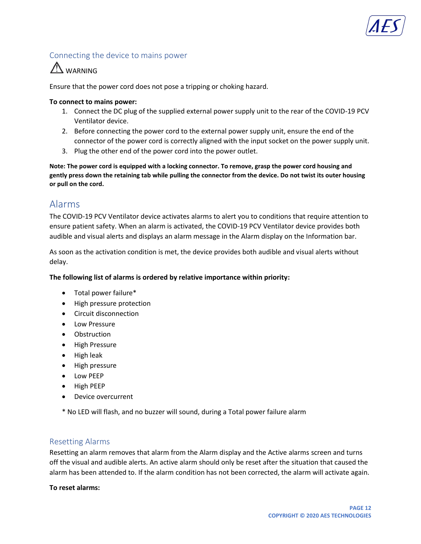## <span id="page-12-0"></span>Connecting the device to mains power



Ensure that the power cord does not pose a tripping or choking hazard.

### **To connect to mains power:**

- 1. Connect the DC plug of the supplied external power supply unit to the rear of the COVID-19 PCV Ventilator device.
- 2. Before connecting the power cord to the external power supply unit, ensure the end of the connector of the power cord is correctly aligned with the input socket on the power supply unit.
- 3. Plug the other end of the power cord into the power outlet.

**Note: The power cord is equipped with a locking connector. To remove, grasp the power cord housing and gently press down the retaining tab while pulling the connector from the device. Do not twist its outer housing or pull on the cord.**

## <span id="page-12-1"></span>Alarms

The COVID-19 PCV Ventilator device activates alarms to alert you to conditions that require attention to ensure patient safety. When an alarm is activated, the COVID-19 PCV Ventilator device provides both audible and visual alerts and displays an alarm message in the Alarm display on the Information bar.

As soon as the activation condition is met, the device provides both audible and visual alerts without delay.

### **The following list of alarms is ordered by relative importance within priority:**

- Total power failure\*
- High pressure protection
- Circuit disconnection
- Low Pressure
- Obstruction
- High Pressure
- High leak
- High pressure
- Low PEEP
- High PEEP
- Device overcurrent
- \* No LED will flash, and no buzzer will sound, during a Total power failure alarm

## <span id="page-12-2"></span>Resetting Alarms

Resetting an alarm removes that alarm from the Alarm display and the Active alarms screen and turns off the visual and audible alerts. An active alarm should only be reset after the situation that caused the alarm has been attended to. If the alarm condition has not been corrected, the alarm will activate again.

### **To reset alarms:**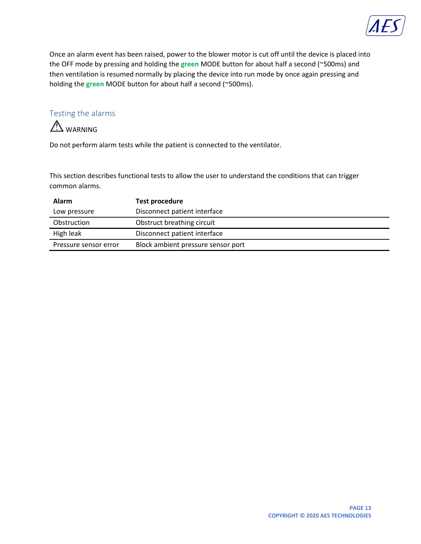

Once an alarm event has been raised, power to the blower motor is cut off until the device is placed into the OFF mode by pressing and holding the **green** MODE button for about half a second (~500ms) and then ventilation is resumed normally by placing the device into run mode by once again pressing and holding the **green** MODE button for about half a second (~500ms).

## <span id="page-13-0"></span>Testing the alarms



Do not perform alarm tests while the patient is connected to the ventilator.

This section describes functional tests to allow the user to understand the conditions that can trigger common alarms.

| <b>Alarm</b>          | Test procedure                     |
|-----------------------|------------------------------------|
| Low pressure          | Disconnect patient interface       |
| Obstruction           | Obstruct breathing circuit         |
| High leak             | Disconnect patient interface       |
| Pressure sensor error | Block ambient pressure sensor port |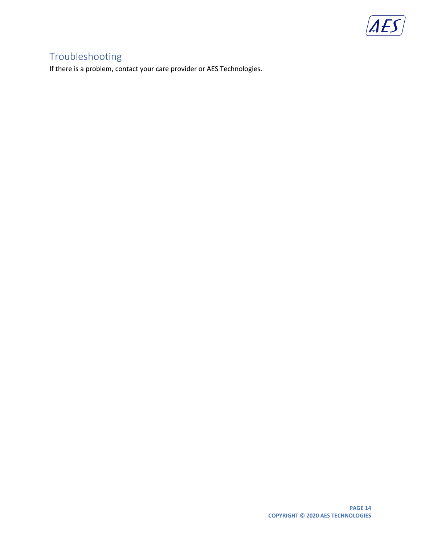

## <span id="page-14-0"></span>Troubleshooting

If there is a problem, contact your care provider or AES Technologies.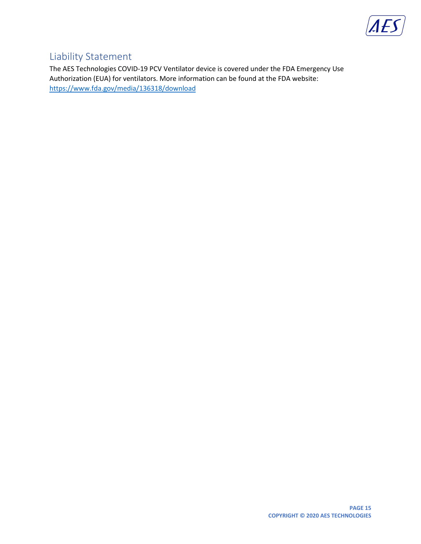

## Liability Statement

The AES Technologies COVID-19 PCV Ventilator device is covered under the FDA Emergency Use Authorization (EUA) for ventilators. More information can be found at the FDA website: <https://www.fda.gov/media/136318/download>